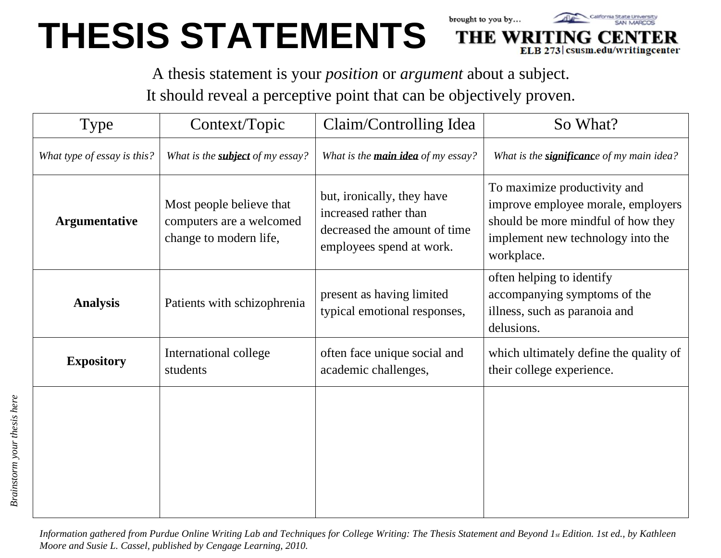## **THESIS STATEMENTS**

A thesis statement is your *position* or *argument* about a subject.

brought to you by...

**THE WRI** 

ELB 273 | csusm.edu/writingcenter

It should reveal a perceptive point that can be objectively proven.

| Type                        | Context/Topic                                                                  | Claim/Controlling Idea                                                                                          | So What?                                                                                                                                                    |
|-----------------------------|--------------------------------------------------------------------------------|-----------------------------------------------------------------------------------------------------------------|-------------------------------------------------------------------------------------------------------------------------------------------------------------|
| What type of essay is this? | What is the <b>subject</b> of my essay?                                        | What is the <b>main idea</b> of my essay?                                                                       | What is the <b>significance</b> of my main idea?                                                                                                            |
| <b>Argumentative</b>        | Most people believe that<br>computers are a welcomed<br>change to modern life, | but, ironically, they have<br>increased rather than<br>decreased the amount of time<br>employees spend at work. | To maximize productivity and<br>improve employee morale, employers<br>should be more mindful of how they<br>implement new technology into the<br>workplace. |
| <b>Analysis</b>             | Patients with schizophrenia                                                    | present as having limited<br>typical emotional responses,                                                       | often helping to identify<br>accompanying symptoms of the<br>illness, such as paranoia and<br>delusions.                                                    |
| <b>Expository</b>           | International college<br>students                                              | often face unique social and<br>academic challenges,                                                            | which ultimately define the quality of<br>their college experience.                                                                                         |
|                             |                                                                                |                                                                                                                 |                                                                                                                                                             |

*Information gathered from Purdue Online Writing Lab and Techniques for College Writing: The Thesis Statement and Beyond 1st Edition. 1st ed., by Kathleen Moore and Susie L. Cassel, published by Cengage Learning, 2010.*